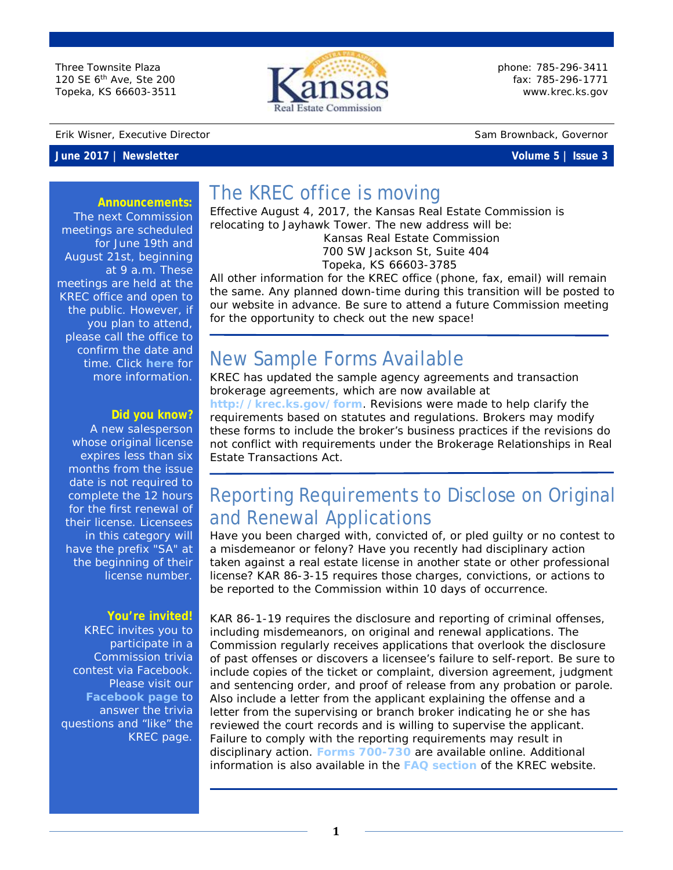Three Townsite Plaza 120 SE 6th Ave, Ste 200 Topeka, KS 66603-3511



phone: 785-296-3411 fax: 785-296-1771 [www.krec.ks.gov](http://www.krec.ks.gov/)

Erik Wisner, Executive Director Sam Brownback, Governor

**June 2017 | Newsletter Volume 5 | Issue 3**

### **Announcements:**

The next Commission meetings are scheduled for June 19th and August 21st, beginning at 9 a.m. These meetings are held at the KREC office and open to the public. However, if you plan to attend, please call the office to confirm the date and time. Click **[here](http://krec.ks.gov/commission/commission-meetings)** for more information.

#### **Did you know?**

A new salesperson whose original license expires less than six months from the issue date is not required to complete the 12 hours for the first renewal of their license. Licensees in this category will have the prefix "SA" at the beginning of their license number.

### **You're invited!**

KREC invites you to participate in a Commission trivia contest via Facebook. Please visit our **[Facebook page](https://www.facebook.com/KansasRealEstateCommission)** to answer the trivia questions and "like" the KREC page.

### The KREC office is moving

Effective August 4, 2017, the Kansas Real Estate Commission is relocating to Jayhawk Tower. The new address will be:

Kansas Real Estate Commission 700 SW Jackson St, Suite 404 Topeka, KS 66603-3785

All other information for the KREC office (phone, fax, email) will remain the same. Any planned down-time during this transition will be posted to our website in advance. Be sure to attend a future Commission meeting for the opportunity to check out the new space!

## New Sample Forms Available

KREC has updated the sample agency agreements and transaction brokerage agreements, which are now available at

**<http://krec.ks.gov/form>**. Revisions were made to help clarify the requirements based on statutes and regulations. Brokers may modify these forms to include the broker's business practices if the revisions do not conflict with requirements under the Brokerage Relationships in Real Estate Transactions Act.

## Reporting Requirements to Disclose on Original and Renewal Applications

Have you been charged with, convicted of, or pled guilty or no contest to a misdemeanor or felony? Have you recently had disciplinary action taken against a real estate license in another state or other professional license? KAR 86-3-15 requires those charges, convictions, or actions to be reported to the Commission within 10 days of occurrence.

KAR 86-1-19 requires the disclosure and reporting of criminal offenses, including misdemeanors, on original and renewal applications. The Commission regularly receives applications that overlook the disclosure of past offenses or discovers a licensee's failure to self-report. Be sure to include copies of the ticket or complaint, diversion agreement, judgment and sentencing order, and proof of release from any probation or parole. Also include a letter from the applicant explaining the offense and a letter from the supervising or branch broker indicating he or she has reviewed the court records and is willing to supervise the applicant. Failure to comply with the reporting requirements may result in disciplinary action. **[Forms 700-730](http://krec.ks.gov/form)** are available online. Additional information is also available in the **[FAQ section](http://krec.ks.gov/helpful-links/frequently-asked-questions)** of the KREC website.